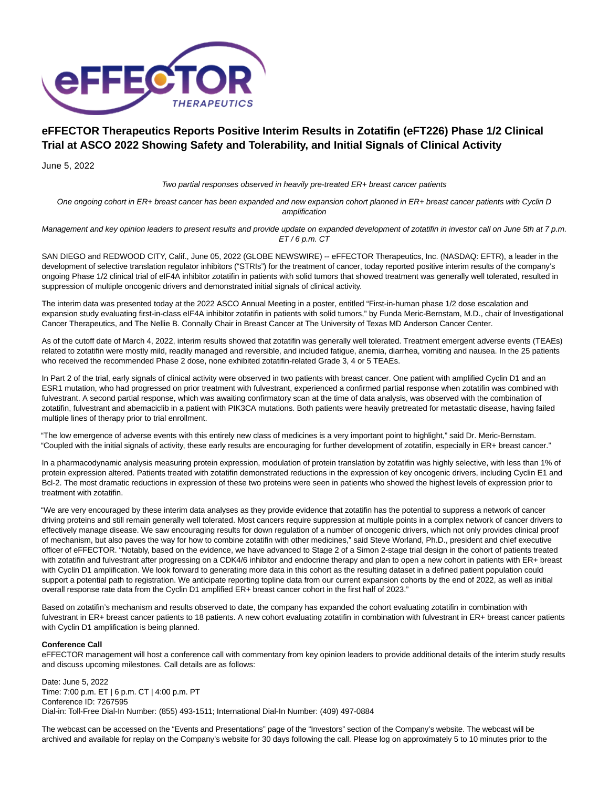

# **eFFECTOR Therapeutics Reports Positive Interim Results in Zotatifin (eFT226) Phase 1/2 Clinical Trial at ASCO 2022 Showing Safety and Tolerability, and Initial Signals of Clinical Activity**

June 5, 2022

Two partial responses observed in heavily pre-treated ER+ breast cancer patients

One ongoing cohort in ER+ breast cancer has been expanded and new expansion cohort planned in ER+ breast cancer patients with Cyclin D amplification

Management and key opinion leaders to present results and provide update on expanded development of zotatifin in investor call on June 5th at 7 p.m.  $ET/6$  p.m.  $CT$ 

SAN DIEGO and REDWOOD CITY, Calif., June 05, 2022 (GLOBE NEWSWIRE) -- eFFECTOR Therapeutics, Inc. (NASDAQ: EFTR), a leader in the development of selective translation regulator inhibitors ("STRIs") for the treatment of cancer, today reported positive interim results of the company's ongoing Phase 1/2 clinical trial of eIF4A inhibitor zotatifin in patients with solid tumors that showed treatment was generally well tolerated, resulted in suppression of multiple oncogenic drivers and demonstrated initial signals of clinical activity.

The interim data was presented today at the 2022 ASCO Annual Meeting in a poster, entitled "First-in-human phase 1/2 dose escalation and expansion study evaluating first-in-class eIF4A inhibitor zotatifin in patients with solid tumors," by Funda Meric-Bernstam, M.D., chair of Investigational Cancer Therapeutics, and The Nellie B. Connally Chair in Breast Cancer at The University of Texas MD Anderson Cancer Center.

As of the cutoff date of March 4, 2022, interim results showed that zotatifin was generally well tolerated. Treatment emergent adverse events (TEAEs) related to zotatifin were mostly mild, readily managed and reversible, and included fatigue, anemia, diarrhea, vomiting and nausea. In the 25 patients who received the recommended Phase 2 dose, none exhibited zotatifin-related Grade 3, 4 or 5 TEAEs.

In Part 2 of the trial, early signals of clinical activity were observed in two patients with breast cancer. One patient with amplified Cyclin D1 and an ESR1 mutation, who had progressed on prior treatment with fulvestrant, experienced a confirmed partial response when zotatifin was combined with fulvestrant. A second partial response, which was awaiting confirmatory scan at the time of data analysis, was observed with the combination of zotatifin, fulvestrant and abemaciclib in a patient with PIK3CA mutations. Both patients were heavily pretreated for metastatic disease, having failed multiple lines of therapy prior to trial enrollment.

"The low emergence of adverse events with this entirely new class of medicines is a very important point to highlight," said Dr. Meric-Bernstam. "Coupled with the initial signals of activity, these early results are encouraging for further development of zotatifin, especially in ER+ breast cancer."

In a pharmacodynamic analysis measuring protein expression, modulation of protein translation by zotatifin was highly selective, with less than 1% of protein expression altered. Patients treated with zotatifin demonstrated reductions in the expression of key oncogenic drivers, including Cyclin E1 and Bcl-2. The most dramatic reductions in expression of these two proteins were seen in patients who showed the highest levels of expression prior to treatment with zotatifin.

"We are very encouraged by these interim data analyses as they provide evidence that zotatifin has the potential to suppress a network of cancer driving proteins and still remain generally well tolerated. Most cancers require suppression at multiple points in a complex network of cancer drivers to effectively manage disease. We saw encouraging results for down regulation of a number of oncogenic drivers, which not only provides clinical proof of mechanism, but also paves the way for how to combine zotatifin with other medicines," said Steve Worland, Ph.D., president and chief executive officer of eFFECTOR. "Notably, based on the evidence, we have advanced to Stage 2 of a Simon 2-stage trial design in the cohort of patients treated with zotatifin and fulvestrant after progressing on a CDK4/6 inhibitor and endocrine therapy and plan to open a new cohort in patients with ER+ breast with Cyclin D1 amplification. We look forward to generating more data in this cohort as the resulting dataset in a defined patient population could support a potential path to registration. We anticipate reporting topline data from our current expansion cohorts by the end of 2022, as well as initial overall response rate data from the Cyclin D1 amplified ER+ breast cancer cohort in the first half of 2023."

Based on zotatifin's mechanism and results observed to date, the company has expanded the cohort evaluating zotatifin in combination with fulvestrant in ER+ breast cancer patients to 18 patients. A new cohort evaluating zotatifin in combination with fulvestrant in ER+ breast cancer patients with Cyclin D1 amplification is being planned.

# **Conference Call**

eFFECTOR management will host a conference call with commentary from key opinion leaders to provide additional details of the interim study results and discuss upcoming milestones. Call details are as follows:

Date: June 5, 2022 Time: 7:00 p.m. ET | 6 p.m. CT | 4:00 p.m. PT Conference ID: 7267595 Dial-in: Toll-Free Dial-In Number: (855) 493-1511; International Dial-In Number: (409) 497-0884

The webcast can be accessed on the "Events and Presentations" page of the "Investors" section of the Company's website. The webcast will be archived and available for replay on the Company's website for 30 days following the call. Please log on approximately 5 to 10 minutes prior to the